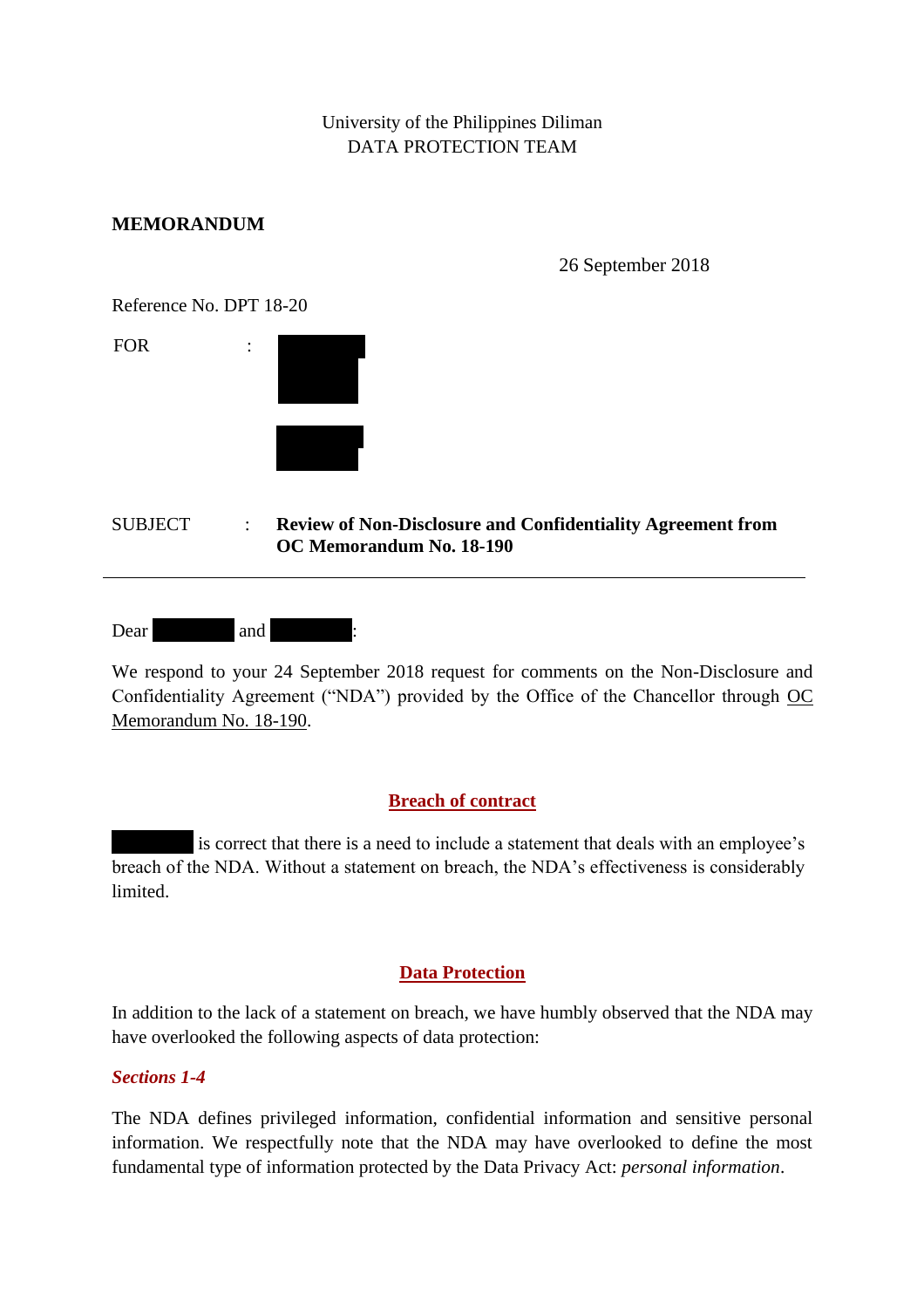University of the Philippines Diliman DATA PROTECTION TEAM

### **MEMORANDUM**

26 September 2018

Reference No. DPT 18-20

| <b>FOR</b> | ٠<br>٠ |  |
|------------|--------|--|
|            |        |  |
|            |        |  |
|            |        |  |

#### SUBJECT : **Review of Non-Disclosure and Confidentiality Agreement from OC Memorandum No. 18-190**

| Dear | anc <sup>'</sup> |  | ٠ |
|------|------------------|--|---|
|------|------------------|--|---|

We respond to your 24 September 2018 request for comments on the Non-Disclosure and Confidentiality Agreement ("NDA") provided by the Office of the Chancellor through OC Memorandum No. 18-190.

# **Breach of contract**

is correct that there is a need to include a statement that deals with an employee's breach of the NDA. Without a statement on breach, the NDA's effectiveness is considerably limited.

# **Data Protection**

In addition to the lack of a statement on breach, we have humbly observed that the NDA may have overlooked the following aspects of data protection:

#### *Sections 1-4*

The NDA defines privileged information, confidential information and sensitive personal information. We respectfully note that the NDA may have overlooked to define the most fundamental type of information protected by the Data Privacy Act: *personal information*.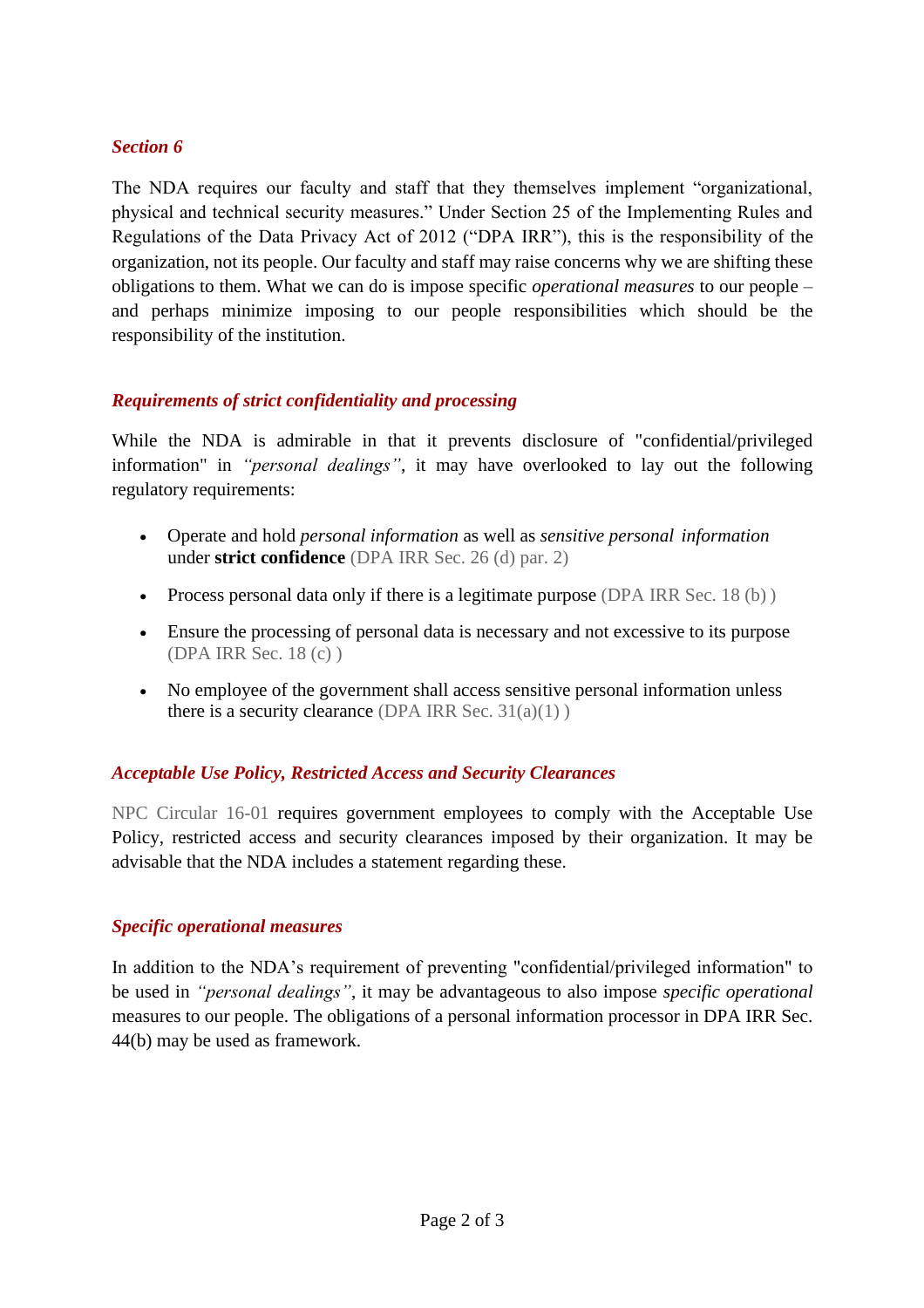### *Section 6*

The NDA requires our faculty and staff that they themselves implement "organizational, physical and technical security measures." Under Section 25 of the Implementing Rules and Regulations of the Data Privacy Act of 2012 ("DPA IRR"), this is the responsibility of the organization, not its people. Our faculty and staff may raise concerns why we are shifting these obligations to them. What we can do is impose specific *operational measures* to our people – and perhaps minimize imposing to our people responsibilities which should be the responsibility of the institution.

# *Requirements of strict confidentiality and processing*

While the NDA is admirable in that it prevents disclosure of "confidential/privileged information" in *"personal dealings"*, it may have overlooked to lay out the following regulatory requirements:

- Operate and hold *personal information* as well as *sensitive personal information* under **strict confidence** (DPA IRR Sec. 26 (d) par. 2)
- Process personal data only if there is a legitimate purpose (DPA IRR Sec. 18 (b))
- Ensure the processing of personal data is necessary and not excessive to its purpose (DPA IRR Sec. 18 (c) )
- No employee of the government shall access sensitive personal information unless there is a security clearance (DPA IRR Sec.  $31(a)(1)$ )

# *Acceptable Use Policy, Restricted Access and Security Clearances*

NPC Circular 16-01 requires government employees to comply with the Acceptable Use Policy, restricted access and security clearances imposed by their organization. It may be advisable that the NDA includes a statement regarding these.

#### *Specific operational measures*

In addition to the NDA's requirement of preventing "confidential/privileged information" to be used in *"personal dealings"*, it may be advantageous to also impose *specific operational*  measures to our people. The obligations of a personal information processor in DPA IRR Sec. 44(b) may be used as framework.